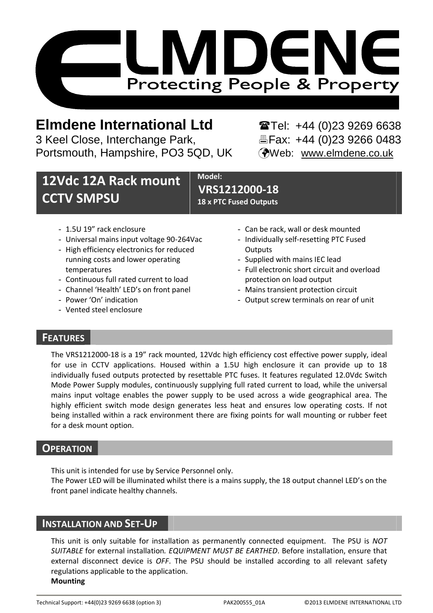

# **Elmdene International Ltd** Tel: +44 (0)23 9269 6638

3 Keel Close, Interchange Park, Fax: +44 (0)23 9266 0483 Portsmouth, Hampshire, PO3 5QD, UK (Web: www.elmdene.co.uk

# **12Vdc 12A Rack mount CCTV SMPSU**

**Model: VRS1212000-18 18 x PTC Fused Outputs** 

- 1.5U 19" rack enclosure
- Universal mains input voltage 90-264Vac
- High efficiency electronics for reduced running costs and lower operating temperatures
- Continuous full rated current to load
- Channel 'Health' LED's on front panel
- Power 'On' indication
- Vented steel enclosure
- Can be rack, wall or desk mounted
- Individually self-resetting PTC Fused **Outputs**
- Supplied with mains IEC lead
- Full electronic short circuit and overload protection on load output
- Mains transient protection circuit
- Output screw terminals on rear of unit

## **FEATURES**

The VRS1212000-18 is a 19" rack mounted, 12Vdc high efficiency cost effective power supply, ideal for use in CCTV applications. Housed within a 1.5U high enclosure it can provide up to 18 individually fused outputs protected by resettable PTC fuses. It features regulated 12.0Vdc Switch Mode Power Supply modules, continuously supplying full rated current to load, while the universal mains input voltage enables the power supply to be used across a wide geographical area. The highly efficient switch mode design generates less heat and ensures low operating costs. If not being installed within a rack environment there are fixing points for wall mounting or rubber feet for a desk mount option.

## **OPERATION**

This unit is intended for use by Service Personnel only.

The Power LED will be illuminated whilst there is a mains supply, the 18 output channel LED's on the front panel indicate healthy channels.

## **INSTALLATION AND SET-UP**

This unit is only suitable for installation as permanently connected equipment. The PSU is *NOT SUITABLE* for external installation*. EQUIPMENT MUST BE EARTHED*. Before installation, ensure that external disconnect device is *OFF*. The PSU should be installed according to all relevant safety regulations applicable to the application. **Mounting**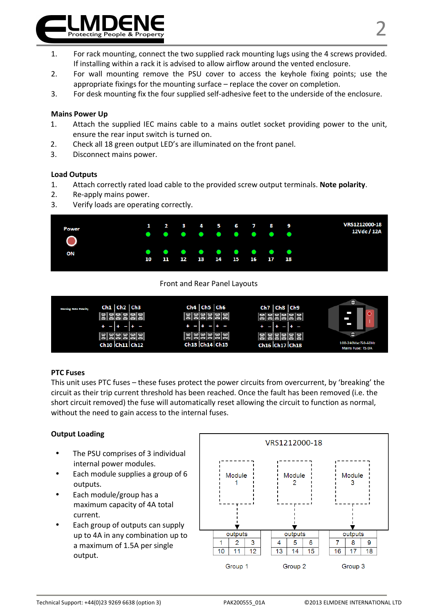

- 1. For rack mounting, connect the two supplied rack mounting lugs using the 4 screws provided. If installing within a rack it is advised to allow airflow around the vented enclosure.
- 2. For wall mounting remove the PSU cover to access the keyhole fixing points; use the appropriate fixings for the mounting surface – replace the cover on completion.
- 3. For desk mounting fix the four supplied self-adhesive feet to the underside of the enclosure.

#### **Mains Power Up**

- 1. Attach the supplied IEC mains cable to a mains outlet socket providing power to the unit, ensure the rear input switch is turned on.
- 2. Check all 18 green output LED's are illuminated on the front panel.
- 3. Disconnect mains power.

#### **Load Outputs**

- 1. Attach correctly rated load cable to the provided screw output terminals. **Note polarity**.
- 2. Re-apply mains power.
- 3. Verify loads are operating correctly.



#### Front and Rear Panel Layouts



#### **PTC Fuses**

This unit uses PTC fuses – these fuses protect the power circuits from overcurrent, by 'breaking' the circuit as their trip current threshold has been reached. Once the fault has been removed (i.e. the short circuit removed) the fuse will automatically reset allowing the circuit to function as normal, without the need to gain access to the internal fuses.

#### **Output Loading**

- The PSU comprises of 3 individual internal power modules.
- Each module supplies a group of 6 outputs.
- Each module/group has a maximum capacity of 4A total current.
- Each group of outputs can supply up to 4A in any combination up to a maximum of 1.5A per single output.

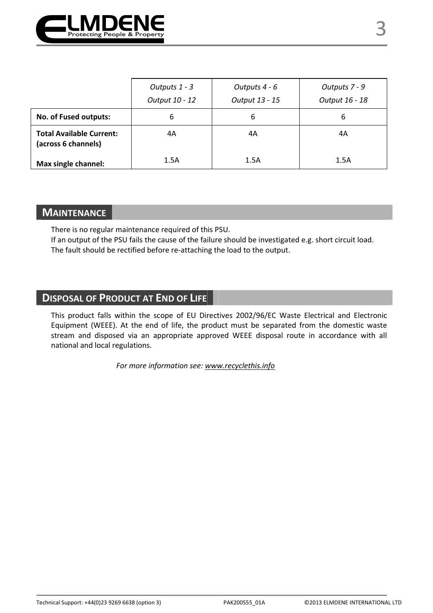

|                                                        | Outputs 1 - 3<br>Output 10 - 12 | Outputs 4 - 6<br>Output 13 - 15 | Outputs 7 - 9<br>Output 16 - 18 |
|--------------------------------------------------------|---------------------------------|---------------------------------|---------------------------------|
| No. of Fused outputs:                                  | 6                               | 6                               |                                 |
| <b>Total Available Current:</b><br>(across 6 channels) | 4A                              | 4A                              | 4Α                              |
| Max single channel:                                    | 1.5A                            | 1.5A                            | 1.5A                            |

### **MAINTENANCE**

There is no regular maintenance required of this PSU.

If an output of the PSU fails the cause of the failure should be investigated e.g. short circuit load. The fault should be rectified before re-attaching the load to the output.

# **DISPOSAL OF PRODUCT AT END OF LIFE**

This product falls within the scope of EU Directives 2002/96/EC Waste Electrical and Electronic Equipment (WEEE). At the end of life, the product must be separated from the domestic waste stream and disposed via an appropriate approved WEEE disposal route in accordance with all national and local regulations.

*For more information see: www.recyclethis.info*